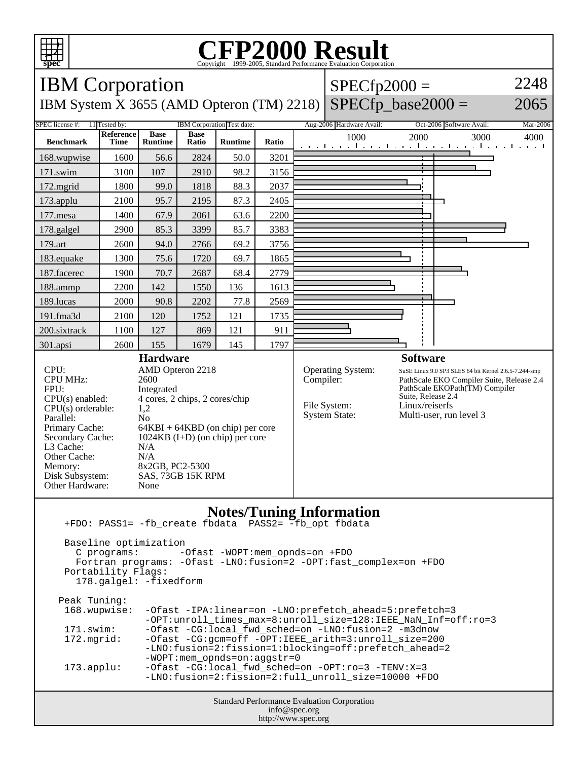

## **CFP2000 Result** Copyright 1999-2005, Standard Performance Evaluation Corporation



 Portability Flags: 178.galgel: -fixedform Peak Tuning: 168.wupwise: -Ofast -IPA:linear=on -LNO:prefetch\_ahead=5:prefetch=3 -OPT:unroll\_times\_max=8:unroll\_size=128:IEEE\_NaN\_Inf=off:ro=3 171.swim: -Ofast -CG:local\_fwd\_sched=on -LNO:fusion=2 -m3dnow<br>172.mqrid: -Ofast -CG:qcm=off -OPT:IEEE arith=3:unroll size=20 -Ofast -CG:gcm=off -OPT:IEEE\_arith=3:unroll\_size=200 -LNO:fusion=2:fission=1:blocking=off:prefetch\_ahead=2 -WOPT:mem\_opnds=on:aggstr=0 173.applu: -Ofast -CG:local\_fwd\_sched=on -OPT:ro=3 -TENV:X=3 -LNO:fusion=2:fission=2:full\_unroll\_size=10000 +FDO

Fortran programs: -Ofast -LNO:fusion=2 -OPT:fast\_complex=on +FDO

Standard Performance Evaluation Corporation info@spec.org http://www.spec.org